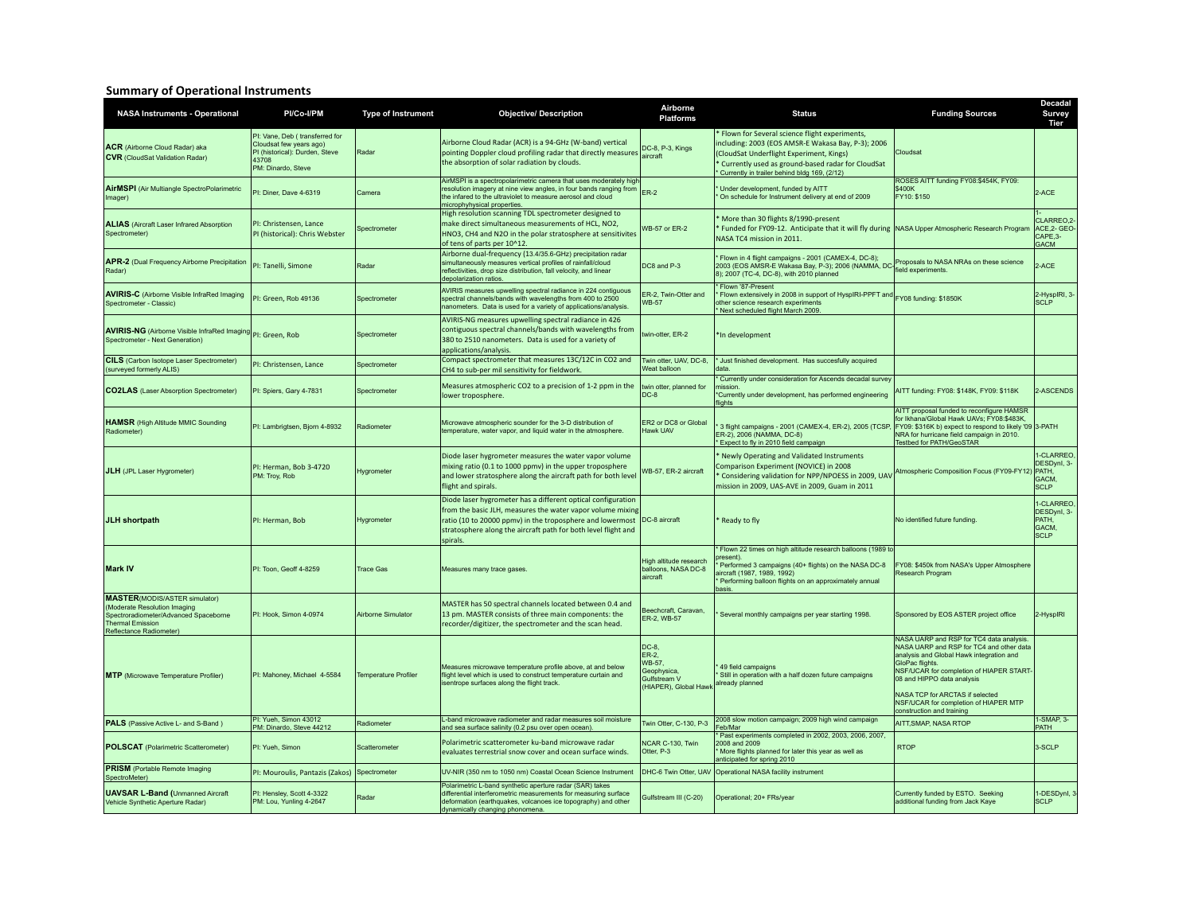## **Summary of Operational Instruments**

| <b>NASA Instruments - Operational</b>                                                                                                                               | PI/Co-I/PM                                                                                                                 | Type of Instrument          | <b>Objective/ Description</b>                                                                                                                                                                                                                                         | Airborne<br><b>Platforms</b>                                                     | <b>Status</b>                                                                                                                                                                                                                                             | <b>Funding Sources</b>                                                                                                                                                                                                                                                                                                                       | Decadal<br><b>Survey</b><br>Tier                                |
|---------------------------------------------------------------------------------------------------------------------------------------------------------------------|----------------------------------------------------------------------------------------------------------------------------|-----------------------------|-----------------------------------------------------------------------------------------------------------------------------------------------------------------------------------------------------------------------------------------------------------------------|----------------------------------------------------------------------------------|-----------------------------------------------------------------------------------------------------------------------------------------------------------------------------------------------------------------------------------------------------------|----------------------------------------------------------------------------------------------------------------------------------------------------------------------------------------------------------------------------------------------------------------------------------------------------------------------------------------------|-----------------------------------------------------------------|
| <b>ACR</b> (Airborne Cloud Radar) aka<br><b>CVR</b> (CloudSat Validation Radar)                                                                                     | PI: Vane, Deb (transferred for<br>Cloudsat few years ago)<br>PI (historical): Durden, Steve<br>43708<br>PM: Dinardo, Steve | Radar                       | Airborne Cloud Radar (ACR) is a 94-GHz (W-band) vertical<br>pointing Doppler cloud profiling radar that directly measures<br>the absorption of solar radiation by clouds.                                                                                             | DC-8, P-3, Kings<br>aircraft                                                     | Flown for Several science flight experiments,<br>including: 2003 (EOS AMSR-E Wakasa Bay, P-3); 2006<br>(CloudSat Underflight Experiment, Kings)<br>* Currently used as ground-based radar for CloudSat<br>* Currently in trailer behind bldg 169, (2/12)  | Cloudsat                                                                                                                                                                                                                                                                                                                                     |                                                                 |
| AirMSPI (Air Multiangle SpectroPolarimetric<br>Imager)                                                                                                              | PI: Diner, Dave 4-6319                                                                                                     | Camera                      | AirMSPI is a spectropolarimetric camera that uses moderately high<br>resolution imagery at nine view angles, in four bands ranging from<br>the infared to the ultraviolet to measure aerosol and cloud<br>microphyhysical properties.                                 | ER-2                                                                             | Under development, funded by AITT<br>On schedule for Instrument delivery at end of 2009                                                                                                                                                                   | ROSES AITT funding FY08:\$454K, FY09:<br>\$400K<br>FY10: \$150                                                                                                                                                                                                                                                                               | 2-ACE                                                           |
| <b>ALIAS</b> (Aircraft Laser Infrared Absorption<br>Spectrometer)                                                                                                   | PI: Christensen, Lance<br>PI (historical): Chris Webster                                                                   | Spectrometer                | High resolution scanning TDL spectrometer designed to<br>make direct simultaneous measurements of HCL, NO2,<br>HNO3, CH4 and N2O in the polar stratosphere at sensitivites<br>of tens of parts per 10^12.                                                             | WB-57 or ER-2                                                                    | More than 30 flights 8/1990-present<br>Funded for FY09-12. Anticipate that it will fly during NASA Upper Atmospheric Research Program<br>NASA TC4 mission in 2011.                                                                                        |                                                                                                                                                                                                                                                                                                                                              | CLARREO <sub>.2</sub><br>ACE, 2- GEO<br>CAPE.3-<br><b>GACM</b>  |
| APR-2 (Dual Frequency Airborne Precipitation<br>Radar)                                                                                                              | PI: Tanelli, Simone                                                                                                        | Radar                       | Airborne dual-frequency (13.4/35.6-GHz) precipitation radar<br>simultaneously measures vertical profiles of rainfall/cloud<br>reflectivities, drop size distribution, fall velocity, and linear<br>depolarization ratios.                                             | DC8 and P-3                                                                      | Flown in 4 flight campaigns - 2001 (CAMEX-4, DC-8);<br>2003 (EOS AMSR-E Wakasa Bay, P-3); 2006 (NAMMA, DC-6)<br>2013 (EOS AMSR-E Wakasa Bay, P-3); 2006 (NAMMA, DC-6) and a meadow at the Solemn Base science<br>8); 2007 (TC-4, DC-8), with 2010 planned |                                                                                                                                                                                                                                                                                                                                              | 2-ACE                                                           |
| <b>AVIRIS-C</b> (Airborne Visible InfraRed Imaging<br>Spectrometer - Classic)                                                                                       | PI: Green, Rob 49136                                                                                                       | Spectrometer                | AVIRIS measures upwelling spectral radiance in 224 contiguous<br>spectral channels/bands with wavelengths from 400 to 2500<br>nanometers. Data is used for a variety of applications/analysis.                                                                        | ER-2, Twin-Otter and<br><b>WB-57</b>                                             | Flown '87-Present<br>Flown extensively in 2008 in support of HyspIRI-PPFT and FY08 funding: \$1850K<br>other science research experiments<br>* Next scheduled flight March 2009.                                                                          |                                                                                                                                                                                                                                                                                                                                              | 2-HyspIRI, 3<br><b>SCLP</b>                                     |
| AVIRIS-NG (Airborne Visible InfraRed Imaging PI: Green, Rob<br>Spectrometer - Next Generation)                                                                      |                                                                                                                            | Spectrometer                | AVIRIS-NG measures upwelling spectral radiance in 426<br>contiguous spectral channels/bands with wavelengths from<br>380 to 2510 nanometers. Data is used for a variety of<br>applications/analysis.                                                                  | twin-otter, ER-2                                                                 | *In development                                                                                                                                                                                                                                           |                                                                                                                                                                                                                                                                                                                                              |                                                                 |
| <b>CILS</b> (Carbon Isotope Laser Spectrometer)<br>(surveyed formerly ALIS)                                                                                         | PI: Christensen, Lance                                                                                                     | Spectrometer                | Compact spectrometer that measures 13C/12C in CO2 and<br>CH4 to sub-per mil sensitivity for fieldwork.                                                                                                                                                                | Twin otter, UAV, DC-8,<br>Weat balloon                                           | * Just finished development. Has succesfully acquired<br>data                                                                                                                                                                                             |                                                                                                                                                                                                                                                                                                                                              |                                                                 |
| <b>CO2LAS</b> (Laser Absorption Spectrometer)                                                                                                                       | Pl: Spiers, Gary 4-7831                                                                                                    | Spectrometer                | Measures atmospheric CO2 to a precision of 1-2 ppm in the<br>lower troposphere.                                                                                                                                                                                       | twin otter, planned for<br>$DC-8$                                                | Currently under consideration for Ascends decadal survey<br>nission<br>*Currently under development, has performed engineering<br>flights                                                                                                                 | AITT funding: FY08: \$148K, FY09: \$118K                                                                                                                                                                                                                                                                                                     | 2-ASCENDS                                                       |
| <b>HAMSR</b> (High Altitude MMIC Sounding<br>Radiometer)                                                                                                            | PI: Lambrigtsen, Bjorn 4-8932                                                                                              | Radiometer                  | Microwave atmospheric sounder for the 3-D distribution of<br>temperature, water vapor, and liquid water in the atmosphere.                                                                                                                                            | ER2 or DC8 or Global<br>Hawk UAV                                                 | 3 flight campaigns - 2001 (CAMEX-4, ER-2), 2005 (TCSP,<br>ER-2), 2006 (NAMMA, DC-8)<br>* Expect to fly in 2010 field campaign                                                                                                                             | AITT proposal funded to reconfigure HAMSR<br>for Ikhana/Global Hawk UAVs; FY08:\$483K,<br>FY09: \$316K b) expect to respond to likely '09 3-PATH<br>NRA for hurricane field campaign in 2010.<br>Testbed for PATH/GeoSTAR                                                                                                                    |                                                                 |
| JLH (JPL Laser Hygrometer)                                                                                                                                          | PI: Herman, Bob 3-4720<br>PM: Troy, Rob                                                                                    | Hygrometer                  | Diode laser hygrometer measures the water vapor volume<br>mixing ratio (0.1 to 1000 ppmv) in the upper troposphere<br>and lower stratosphere along the aircraft path for both level<br>flight and spirals.                                                            | WB-57, ER-2 aircraft                                                             | Newly Operating and Validated Instruments<br>Comparison Experiment (NOVICE) in 2008<br>Considering validation for NPP/NPOESS in 2009. UAV<br>mission in 2009, UAS-AVE in 2009, Guam in 2011                                                               | Atmospheric Composition Focus (FY09-FY12)                                                                                                                                                                                                                                                                                                    | 1-CLARREO<br>DESDynl, 3-<br>PATH.<br><b>GACM</b><br><b>SCLP</b> |
| JLH shortpath                                                                                                                                                       | PI: Herman, Bob                                                                                                            | Hygrometer                  | Diode laser hygrometer has a different optical configuration<br>from the basic JLH, measures the water vapor volume mixing<br>ratio (10 to 20000 ppmv) in the troposphere and lowermost<br>stratosphere along the aircraft path for both level flight and<br>spirals. | DC-8 aircraft                                                                    | Ready to fly                                                                                                                                                                                                                                              | No identified future funding                                                                                                                                                                                                                                                                                                                 | 1-CLARREO<br>DESDynl, 3-<br>PATH,<br>GACM,<br><b>SCLP</b>       |
| <b>Mark IV</b>                                                                                                                                                      | PI: Toon, Geoff 4-8259                                                                                                     | <b>Trace Gas</b>            | Measures many trace gases.                                                                                                                                                                                                                                            | High altitude research<br>balloons, NASA DC-8<br>aircraft                        | Flown 22 times on high altitude research balloons (1989 to<br>resent).<br>Performed 3 campaigns (40+ flights) on the NASA DC-8<br>aircraft (1987, 1989, 1992)<br>* Performing balloon flights on an approximately annual<br>asis                          | FY08: \$450k from NASA's Upper Atmosphere<br>Research Program                                                                                                                                                                                                                                                                                |                                                                 |
| <b>MASTER</b> (MODIS/ASTER simulator)<br>Moderate Resolution Imaging<br>Spectroradiometer/Advanced Spaceborne<br><b>Thermal Emission</b><br>Reflectance Radiometer) | PI: Hook. Simon 4-0974                                                                                                     | Airborne Simulator          | MASTER has 50 spectral channels located between 0.4 and<br>13 pm. MASTER consists of three main components: the<br>recorder/digitizer, the spectrometer and the scan head.                                                                                            | Beechcraft, Caravan,<br>ER-2, WB-57                                              | Several monthly campaigns per year starting 1998.                                                                                                                                                                                                         | Sponsored by EOS ASTER project office                                                                                                                                                                                                                                                                                                        | 2-HyspIRI                                                       |
| <b>MTP</b> (Microwave Temperature Profiler)                                                                                                                         | PI: Mahoney, Michael 4-5584                                                                                                | <b>Temperature Profiler</b> | Measures microwave temperature profile above, at and below<br>light level which is used to construct temperature curtain and<br>isentrope surfaces along the flight track.                                                                                            | DC-8.<br>ER-2,<br>WB-57,<br>Geophysica,<br>Gulfstream V<br>(HIAPER), Global Hawk | 49 field campaigns<br>Still in operation with a half dozen future campaigns<br>already planned                                                                                                                                                            | NASA UARP and RSP for TC4 data analysis.<br>NASA UARP and RSP for TC4 and other data<br>analysis and Global Hawk integration and<br><b>GloPac flights</b><br>NSF/UCAR for completion of HIAPER START-<br>08 and HIPPO data analysis<br>NASA TCP for ARCTAS if selected<br>NSF/UCAR for completion of HIAPER MTP<br>construction and training |                                                                 |
| PALS (Passive Active L- and S-Band)                                                                                                                                 | PI: Yueh, Simon 43012<br>PM: Dinardo, Steve 44212                                                                          | Radiometer                  | L-band microwave radiometer and radar measures soil moisture<br>and sea surface salinity (0.2 psu over open ocean)                                                                                                                                                    | Twin Otter, C-130, P-3                                                           | 2008 slow motion campaign; 2009 high wind campaign<br>Feb/Mar                                                                                                                                                                                             | AITT.SMAP, NASA RTOP                                                                                                                                                                                                                                                                                                                         | 1-SMAP, 3-<br><b>PATH</b>                                       |
| <b>POLSCAT</b> (Polarimetric Scatterometer)                                                                                                                         | PI: Yueh, Simon                                                                                                            | Scatterometer               | Polarimetric scatterometer ku-band microwave radar<br>evaluates terrestrial snow cover and ocean surface winds.                                                                                                                                                       | NCAR C-130, Twin<br>Otter, P-3                                                   | Past experiments completed in 2002, 2003, 2006, 2007,<br>2008 and 2009<br>More flights planned for later this year as well as<br>anticipated for spring 2010                                                                                              | <b>RTOP</b>                                                                                                                                                                                                                                                                                                                                  | 3-SCLP                                                          |
| <b>PRISM</b> (Portable Remote Imaging<br>SpectroMeter)                                                                                                              | PI: Mouroulis, Pantazis (Zakos) Spectrometer                                                                               |                             | UV-NIR (350 nm to 1050 nm) Coastal Ocean Science Instrument                                                                                                                                                                                                           | DHC-6 Twin Otter, UAV                                                            | Operational NASA facility instrument                                                                                                                                                                                                                      |                                                                                                                                                                                                                                                                                                                                              |                                                                 |
| <b>UAVSAR L-Band (Unmanned Aircraft</b><br>Vehicle Synthetic Aperture Radar)                                                                                        | PI: Hensley, Scott 4-3322<br>PM: Lou, Yunling 4-2647                                                                       | Radar                       | Polarimetric L-band synthetic aperture radar (SAR) takes<br>differential interferometric measurements for measuring surface<br>deformation (earthquakes, volcanoes ice topography) and other<br>dynamically changing phonomena.                                       | Gulfstream III (C-20)                                                            | Operational; 20+ FRs/year                                                                                                                                                                                                                                 | Currently funded by ESTO. Seeking<br>additional funding from Jack Kaye                                                                                                                                                                                                                                                                       | 1-DESDynl,<br><b>SCLP</b>                                       |